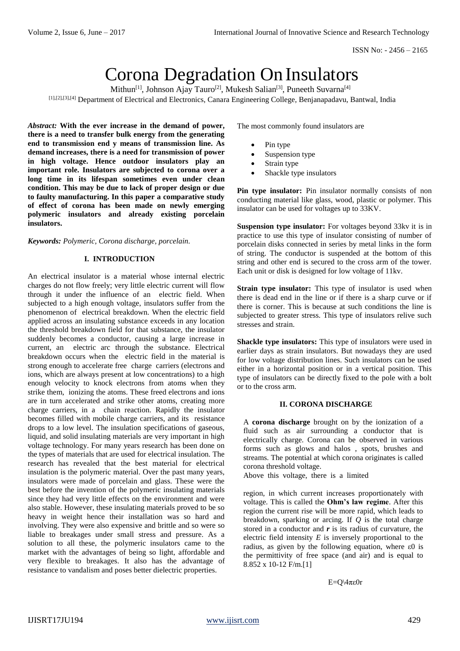# Corona Degradation On Insulators

Mithun<sup>[1]</sup>, Johnson Ajay Tauro<sup>[2]</sup>, Mukesh Salian<sup>[3]</sup>, Puneeth Suvarna<sup>[4]</sup> [1],[2],[3],[4] Department of Electrical and Electronics, Canara Engineering College, Benjanapadavu, Bantwal, India

*Abstract:* **With the ever increase in the demand of power, there is a need to transfer bulk energy from the generating end to transmission end y means of transmission line. As demand increases, there is a need for transmission of power in high voltage. Hence outdoor insulators play an important role. Insulators are subjected to corona over a long time in its lifespan sometimes even under clean condition. This may be due to lack of proper design or due to faulty manufacturing. In this paper a comparative study of effect of corona has been made on newly emerging polymeric insulators and already existing porcelain insulators.**

# *Keywords: Polymeric, Corona discharge, porcelain.*

# **I. INTRODUCTION**

An electrical insulator is a material whose internal electric charges do not flow freely; very little electric current will flow through it under the influence of an electric field. When subjected to a high enough voltage, insulators suffer from the phenomenon of electrical breakdown. When the electric field applied across an insulating substance exceeds in any location the threshold breakdown field for that substance, the insulator suddenly becomes a conductor, causing a large increase in current, an electric arc through the substance. Electrical breakdown occurs when the electric field in the material is strong enough to accelerate free charge carriers (electrons and ions, which are always present at low concentrations) to a high enough velocity to knock electrons from atoms when they strike them, ionizing the atoms. These freed electrons and ions are in turn accelerated and strike other atoms, creating more charge carriers, in a chain reaction. Rapidly the insulator becomes filled with mobile charge carriers, and its resistance drops to a low level. The insulation specifications of gaseous, liquid, and solid insulating materials are very important in high voltage technology. For many years research has been done on the types of materials that are used for electrical insulation. The research has revealed that the best material for electrical insulation is the polymeric material. Over the past many years, insulators were made of porcelain and glass. These were the best before the invention of the polymeric insulating materials since they had very little effects on the environment and were also stable. However, these insulating materials proved to be so heavy in weight hence their installation was so hard and involving. They were also expensive and brittle and so were so liable to breakages under small stress and pressure. As a solution to all these, the polymeric insulators came to the market with the advantages of being so light, affordable and very flexible to breakages. It also has the advantage of resistance to vandalism and poses better dielectric properties.

The most commonly found insulators are

- Pin type
- Suspension type
- Strain type
- Shackle type insulators

**Pin type insulator:** Pin insulator normally consists of non conducting material like glass, wood, plastic or polymer. This insulator can be used for voltages up to 33KV.

**Suspension type insulator:** For voltages beyond 33kv it is in practice to use this type of insulator consisting of number of porcelain disks connected in series by metal links in the form of string. The conductor is suspended at the bottom of this string and other end is secured to the cross arm of the tower. Each unit or disk is designed for low voltage of 11kv.

**Strain type insulator:** This type of insulator is used when there is dead end in the line or if there is a sharp curve or if there is corner. This is because at such conditions the line is subjected to greater stress. This type of insulators relive such stresses and strain.

**Shackle type insulators:** This type of insulators were used in earlier days as strain insulators. But nowadays they are used for low voltage distribution lines. Such insulators can be used either in a horizontal position or in a vertical position. This type of insulators can be directly fixed to the pole with a bolt or to the cross arm.

## **II. CORONA DISCHARGE**

A **corona discharge** brought on by the ionization of a fluid such as air surrounding a conductor that is electrically charge. Corona can be observed in various forms such as glows and halos , spots, brushes and streams. The potential at which corona originates is called corona threshold voltage.

Above this voltage, there is a limited

region, in which current increases proportionately with voltage. This is called the **Ohm's law regime**. After this region the current rise will be more rapid, which leads to breakdown, sparking or arcing. If *Q* is the total charge stored in a conductor and  $r$  is its radius of curvature, the electric field intensity *E* is inversely proportional to the radius, as given by the following equation, where ε0 is the permittivity of free space (and air) and is equal to 8.852 x 10-12 F/m.[1]

E=Q\4πε0r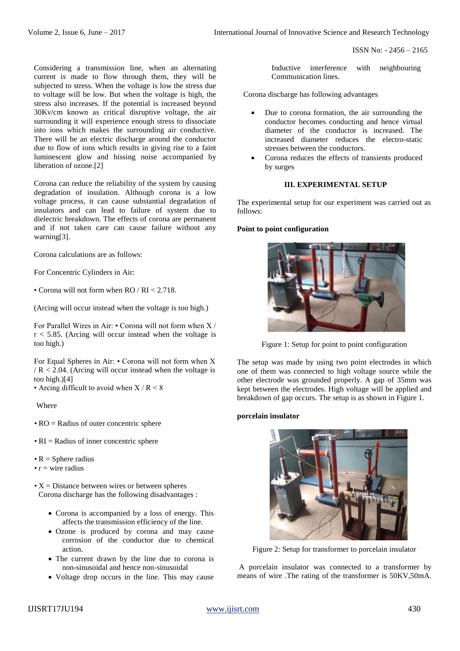ISSN No: - 2456 – 2165

Considering a transmission line, when an alternating current is made to flow through them, they will be subjected to stress. When the voltage is low the stress due to voltage will be low. But when the voltage is high, the stress also increases. If the potential is increased beyond 30Kv/cm known as critical disruptive voltage, the air surrounding it will experience enough stress to dissociate into ions which makes the surrounding air conductive. There will be an electric discharge around the conductor due to flow of ions which results in giving rise to a faint luminescent glow and hissing noise accompanied by liberation of ozone.[2]

Corona can reduce the reliability of the system by causing degradation of insulation. Although corona is a low voltage process, it can cause substantial degradation of insulators and can lead to failure of system due to dielectric breakdown. The effects of corona are permanent and if not taken care can cause failure without any warning[3].

Corona calculations are as follows:

For Concentric Cylinders in Air:

• Corona will not form when RO / RI < 2.718.

(Arcing will occur instead when the voltage is too high.)

For Parallel Wires in Air: • Corona will not form when X /  $r < 5.85$ . (Arcing will occur instead when the voltage is too high.)

For Equal Spheres in Air: • Corona will not form when X  $/R < 2.04$ . (Arcing will occur instead when the voltage is too high.)[4]

• Arcing difficult to avoid when  $X/R < 8$ 

Where

- RO = Radius of outer concentric sphere
- $\cdot$  RI = Radius of inner concentric sphere
- $R =$  Sphere radius
- $r =$  wire radius
- $\bullet X = Distance$  between wires or between spheres Corona discharge has the following disadvantages :
	- Corona is accompanied by a loss of energy. This affects the transmission efficiency of the line.
	- Ozone is produced by corona and may cause corrosion of the conductor due to chemical action.
	- The current drawn by the line due to corona is non-sinusoidal and hence non-sinusoidal
	- Voltage drop occurs in the line. This may cause

Inductive interference with neighbouring Communication lines.

Corona discharge has following advantages

- Due to corona formation, the air surrounding the conductor becomes conducting and hence virtual diameter of the conductor is increased. The increased diameter reduces the electro-static stresses between the conductors.
- Corona reduces the effects of transients produced by surges

# **III. EXPERIMENTAL SETUP**

The experimental setup for our experiment was carried out as follows:

# **Point to point configuration**



Figure 1: Setup for point to point configuration

The setup was made by using two point electrodes in which one of them was connected to high voltage source while the other electrode was grounded properly. A gap of 35mm was kept between the electrodes. High voltage will be applied and breakdown of gap occurs. The setup is as shown in Figure 1.

#### **porcelain insulator**



Figure 2: Setup for transformer to porcelain insulator

A porcelain insulator was connected to a transformer by means of wire .The rating of the transformer is 50KV,50mA.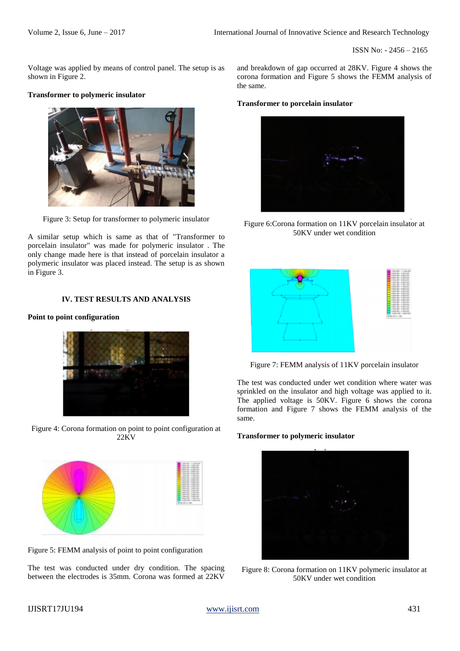ISSN No: - 2456 – 2165

Voltage was applied by means of control panel. The setup is as shown in Figure 2.

# **Transformer to polymeric insulator**



Figure 3: Setup for transformer to polymeric insulator

A similar setup which is same as that of "Transformer to porcelain insulator" was made for polymeric insulator . The only change made here is that instead of porcelain insulator a polymeric insulator was placed instead. The setup is as shown in Figure 3.

# **IV. TEST RESULTS AND ANALYSIS**

# **Point to point configuration**



Figure 4: Corona formation on point to point configuration at 22KV



Figure 5: FEMM analysis of point to point configuration

The test was conducted under dry condition. The spacing between the electrodes is 35mm. Corona was formed at 22KV and breakdown of gap occurred at 28KV. Figure 4 shows the corona formation and Figure 5 shows the FEMM analysis of the same.

#### **Transformer to porcelain insulator**



Figure 6:Corona formation on 11KV porcelain insulator at 50KV under wet condition



Figure 7: FEMM analysis of 11KV porcelain insulator

The test was conducted under wet condition where water was sprinkled on the insulator and high voltage was applied to it. The applied voltage is 50KV. Figure 6 shows the corona formation and Figure 7 shows the FEMM analysis of the same.

### **Transformer to polymeric insulator**



Figure 8: Corona formation on 11KV polymeric insulator at 50KV under wet condition